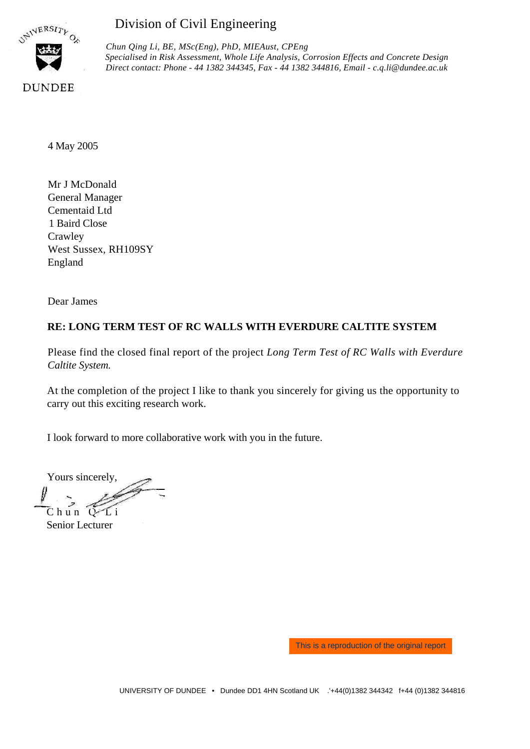

# Division of Civil Engineering

*Chun Qing Li, BE, MSc(Eng), PhD, MIEAust, CPEng Specialised in Risk Assessment, Whole Life Analysis, Corrosion Effects and Concrete Design Direct contact: Phone - 44 1382 344345, Fax - 44 1382 344816, Email* - *c.q.li@dundee.ac.uk*

4 May 2005

Mr J McDonald General Manager Cementaid Ltd 1 Baird Close Crawley West Sussex, RH109SY England

Dear James

# **RE: LONG TERM TEST OF RC WALLS WITH EVERDURE CALTITE SYSTEM**

Please find the closed final report of the project *Long Term Test of RC Walls with Everdure Caltite System.*

At the completion of the project I like to thank you sincerely for giving us the opportunity to carry out this exciting research work.

I look forward to more collaborative work with you in the future.

Yours sincerely,  $C$  hun  $C$ 

Senior Lecturer

This is a reproduction of the original report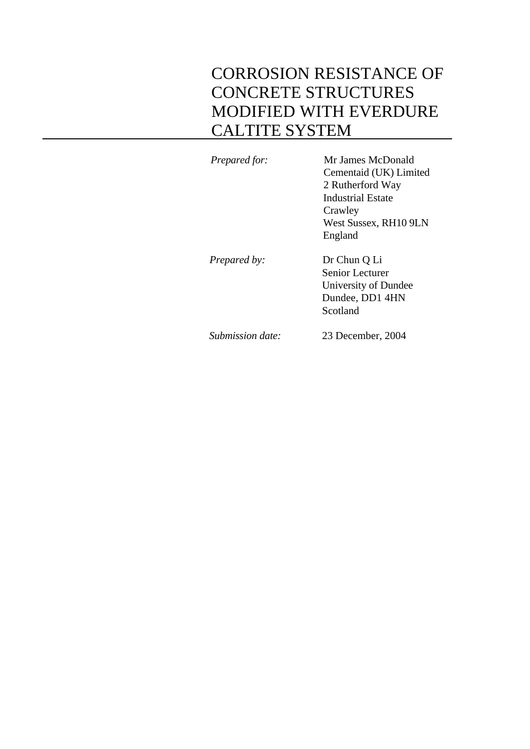# CORROSION RESISTANCE OF CONCRETE STRUCTURES MODIFIED WITH EVERDURE CALTITE SYSTEM

*Prepared for:* Mr James McDonald Cementaid (UK) Limited 2 Rutherford Way Industrial Estate **Crawley** West Sussex, RH10 9LN England *Prepared by:* Dr Chun Q Li Senior Lecturer University of Dundee Dundee, DD1 4HN Scotland *Submission date:* 23 December, 2004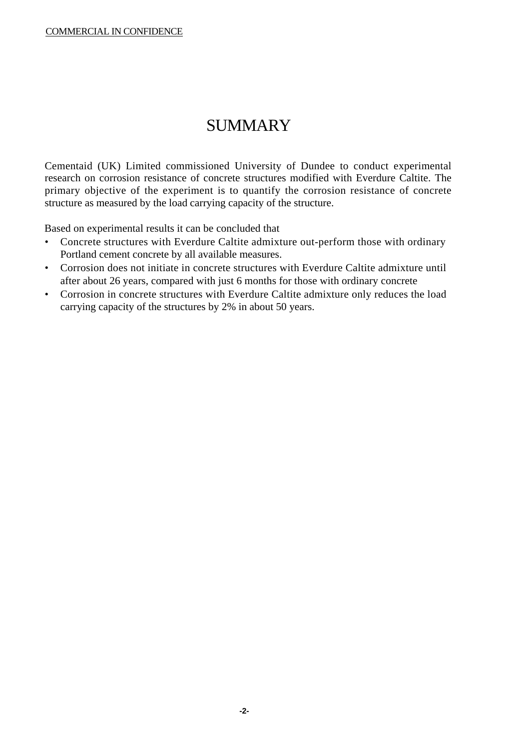# SUMMARY

Cementaid (UK) Limited commissioned University of Dundee to conduct experimental research on corrosion resistance of concrete structures modified with Everdure Caltite. The primary objective of the experiment is to quantify the corrosion resistance of concrete structure as measured by the load carrying capacity of the structure.

Based on experimental results it can be concluded that

- Concrete structures with Everdure Caltite admixture out-perform those with ordinary Portland cement concrete by all available measures.
- Corrosion does not initiate in concrete structures with Everdure Caltite admixture until after about 26 years, compared with just 6 months for those with ordinary concrete
- Corrosion in concrete structures with Everdure Caltite admixture only reduces the load carrying capacity of the structures by 2% in about 50 years.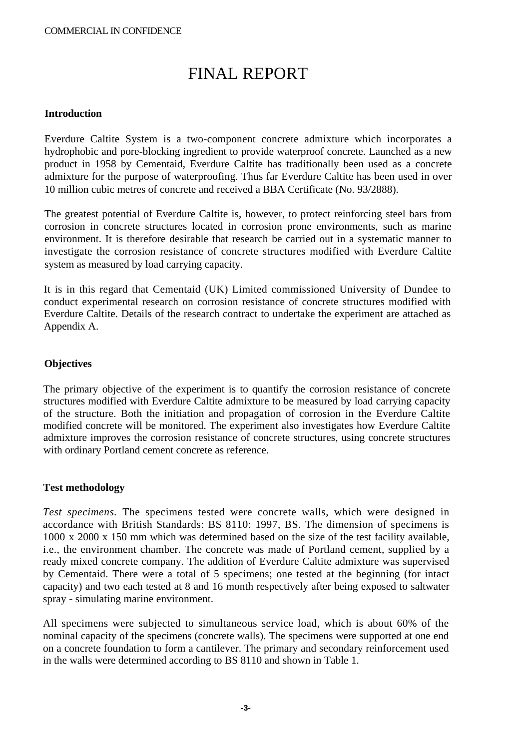# FINAL REPORT

# **Introduction**

Everdure Caltite System is a two-component concrete admixture which incorporates a hydrophobic and pore-blocking ingredient to provide waterproof concrete. Launched as a new product in 1958 by Cementaid, Everdure Caltite has traditionally been used as a concrete admixture for the purpose of waterproofing. Thus far Everdure Caltite has been used in over 10 million cubic metres of concrete and received a BBA Certificate (No. 93/2888).

The greatest potential of Everdure Caltite is, however, to protect reinforcing steel bars from corrosion in concrete structures located in corrosion prone environments, such as marine environment. It is therefore desirable that research be carried out in a systematic manner to investigate the corrosion resistance of concrete structures modified with Everdure Caltite system as measured by load carrying capacity.

It is in this regard that Cementaid (UK) Limited commissioned University of Dundee to conduct experimental research on corrosion resistance of concrete structures modified with Everdure Caltite. Details of the research contract to undertake the experiment are attached as Appendix A.

# **Objectives**

The primary objective of the experiment is to quantify the corrosion resistance of concrete structures modified with Everdure Caltite admixture to be measured by load carrying capacity of the structure. Both the initiation and propagation of corrosion in the Everdure Caltite modified concrete will be monitored. The experiment also investigates how Everdure Caltite admixture improves the corrosion resistance of concrete structures, using concrete structures with ordinary Portland cement concrete as reference.

# **Test methodology**

*Test specimens.* The specimens tested were concrete walls, which were designed in accordance with British Standards: BS 8110: 1997, BS. The dimension of specimens is 1000 x 2000 x 150 mm which was determined based on the size of the test facility available, i.e., the environment chamber. The concrete was made of Portland cement, supplied by a ready mixed concrete company. The addition of Everdure Caltite admixture was supervised by Cementaid. There were a total of 5 specimens; one tested at the beginning (for intact capacity) and two each tested at 8 and 16 month respectively after being exposed to saltwater spray - simulating marine environment.

All specimens were subjected to simultaneous service load, which is about 60% of the nominal capacity of the specimens (concrete walls). The specimens were supported at one end on a concrete foundation to form a cantilever. The primary and secondary reinforcement used in the walls were determined according to BS 8110 and shown in Table 1.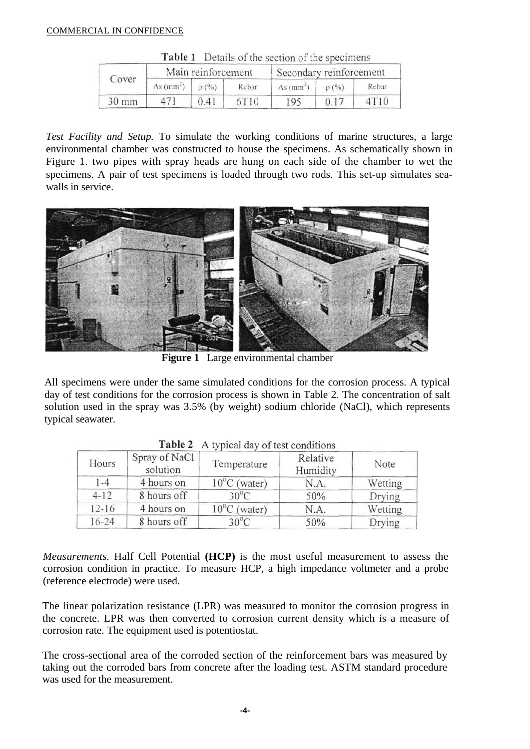| Cover           |             | Main reinforcement |       | Secondary reinforcement |         |       |
|-----------------|-------------|--------------------|-------|-------------------------|---------|-------|
|                 | As $(mm^2)$ | $D(^{0}/_{0})$     | Rebar | As (mm <sup>2</sup> )   | $O($ %) | Rebar |
| $30 \text{ mm}$ | 471         | 0.41               | 6T10  | 195                     | 0.17    | 4T10  |

Table 1 Details of the section of the specimens

*Test Facility and Setup.* To simulate the working conditions of marine structures, a large environmental chamber was constructed to house the specimens. As schematically shown in Figure 1. two pipes with spray heads are hung on each side of the chamber to wet the specimens. A pair of test specimens is loaded through two rods. This set-up simulates seawalls in service.



**Figure 1** Large environmental chamber

All specimens were under the same simulated conditions for the corrosion process. A typical day of test conditions for the corrosion process is shown in Table 2. The concentration of salt solution used in the spray was 3.5% (by weight) sodium chloride (NaCl), which represents typical seawater.

| Hours     | Spray of NaCl<br>solution | Temperature            | Relative<br>Humidity | Note    |
|-----------|---------------------------|------------------------|----------------------|---------|
| $1 - 4$   | 4 hours on                | $10^{\circ}$ C (water) | N.A.                 | Wetting |
| $4 - 12$  | 8 hours off               | $30^{\circ}$ C         | 50%                  | Drying  |
| $12 - 16$ | 4 hours on                | $10^{\circ}$ C (water) | N.A.                 | Wetting |
| $16 - 24$ | 8 hours off               | $30^{\circ}$ C         | 50%                  | Drying  |

Table 2 A typical day of test conditions

*Measurements.* Half Cell Potential **(HCP)** is the most useful measurement to assess the corrosion condition in practice. To measure HCP, a high impedance voltmeter and a probe (reference electrode) were used.

The linear polarization resistance (LPR) was measured to monitor the corrosion progress in the concrete. LPR was then converted to corrosion current density which is a measure of corrosion rate. The equipment used is potentiostat.

The cross-sectional area of the corroded section of the reinforcement bars was measured by taking out the corroded bars from concrete after the loading test. ASTM standard procedure was used for the measurement.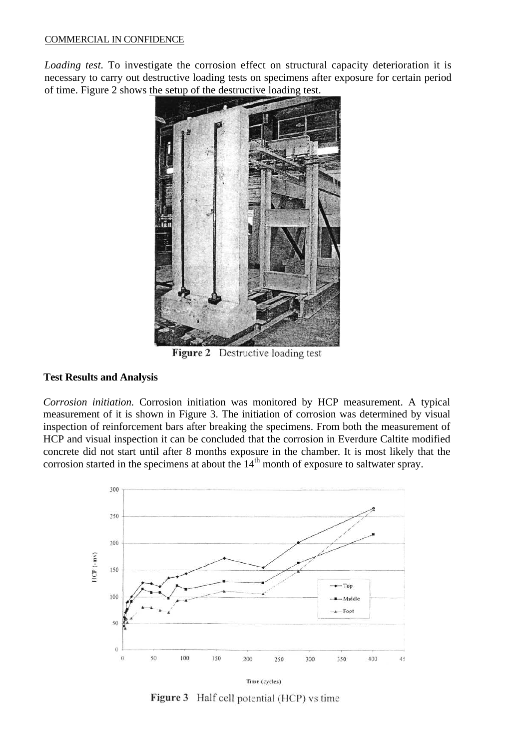*Loading test.* To investigate the corrosion effect on structural capacity deterioration it is necessary to carry out destructive loading tests on specimens after exposure for certain period of time. Figure 2 shows the setup of the destructive loading test.



Figure 2 Destructive loading test

# **Test Results and Analysis**

*Corrosion initiation.* Corrosion initiation was monitored by HCP measurement. A typical measurement of it is shown in Figure 3. The initiation of corrosion was determined by visual inspection of reinforcement bars after breaking the specimens. From both the measurement of HCP and visual inspection it can be concluded that the corrosion in Everdure Caltite modified concrete did not start until after 8 months exposure in the chamber. It is most likely that the corrosion started in the specimens at about the 14<sup>th</sup> month of exposure to saltwater spray.



Figure 3 Half cell potential (HCP) vs time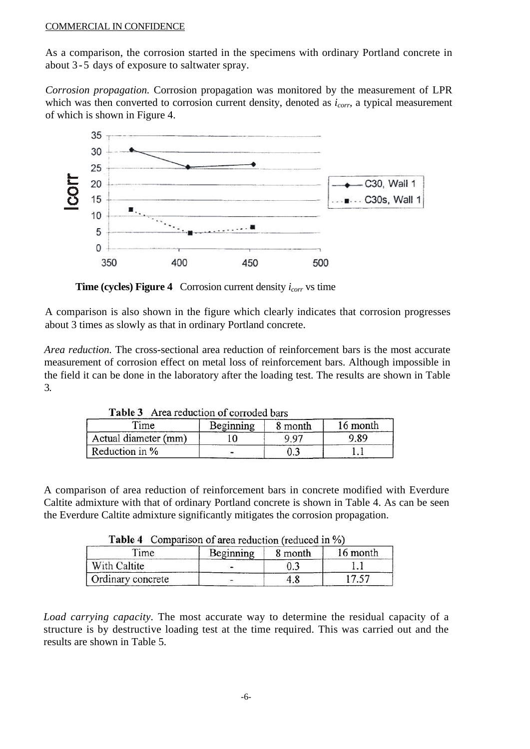As a comparison, the corrosion started in the specimens with ordinary Portland concrete in about 3-5 days of exposure to saltwater spray.

*Corrosion propagation.* Corrosion propagation was monitored by the measurement of LPR which was then converted to corrosion current density, denoted as  $i_{corr}$ , a typical measurement of which is shown in Figure 4.



**Time (cycles) Figure 4** Corrosion current density  $i_{corr}$  vs time

A comparison is also shown in the figure which clearly indicates that corrosion progresses about 3 times as slowly as that in ordinary Portland concrete.

*Area reduction.* The cross-sectional area reduction of reinforcement bars is the most accurate measurement of corrosion effect on metal loss of reinforcement bars. Although impossible in the field it can be done in the laboratory after the loading test. The results are shown in Table 3.

| $T$ ime              | Beginning | 8 month | 16 month |
|----------------------|-----------|---------|----------|
| Actual diameter (mm) |           | 9.97    | 9.89     |
| Reduction in %       |           |         |          |

Table 3 Area reduction of corroded bars

A comparison of area reduction of reinforcement bars in concrete modified with Everdure Caltite admixture with that of ordinary Portland concrete is shown in Table 4. As can be seen the Everdure Caltite admixture significantly mitigates the corrosion propagation.

| $T$ ime           | Beginning | 8 month | 16 month |
|-------------------|-----------|---------|----------|
| With Caltite      |           | ).3     |          |
| Ordinary concrete |           | 4.8     |          |

 $Table 4. Comparison of area reduction (reduced in  $0\Delta$ )$ 

*Load carrying capacity.* The most accurate way to determine the residual capacity of a structure is by destructive loading test at the time required. This was carried out and the results are shown in Table 5.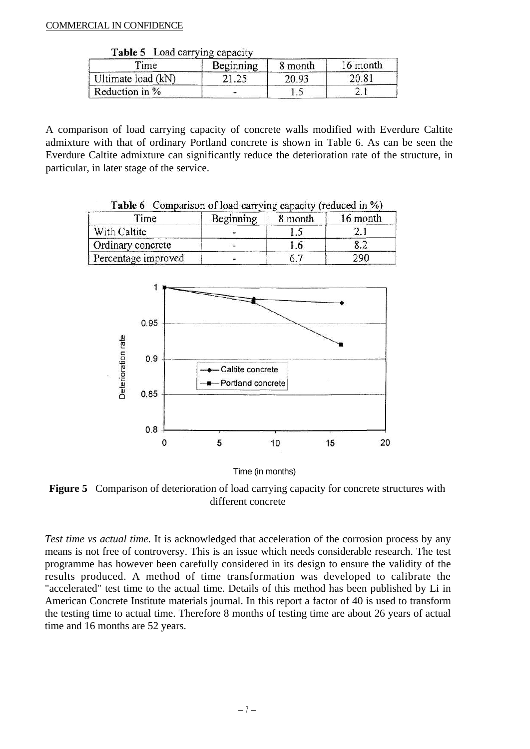| Table 5 | Load carrying capacity |  |
|---------|------------------------|--|

| Time               | Beginning | 8 month | 16 month |
|--------------------|-----------|---------|----------|
| Ultimate load (kN) |           | 20.93   | 20.81    |
| Reduction in %     |           | 1.      |          |

A comparison of load carrying capacity of concrete walls modified with Everdure Caltite admixture with that of ordinary Portland concrete is shown in Table 6. As can be seen the Everdure Caltite admixture can significantly reduce the deterioration rate of the structure, in particular, in later stage of the service.

| Table 6 Comparison of load carrying capacity (reduced in %) |           |         |          |
|-------------------------------------------------------------|-----------|---------|----------|
| Time                                                        | Beginning | 8 month | 16 month |
| With Caltite                                                |           |         |          |
| Ordinary concrete                                           |           | .b      | 8.2      |
| Percentage improved                                         |           |         | 290      |

0.95 Deterioration rate  $0.9$ Caltite concrete - Portland concrete  $0.85$  $0.8$  $\overline{0}$ 5 20 10 15

Time (in months)

**Figure 5** Comparison of deterioration of load carrying capacity for concrete structures with different concrete

*Test time vs actual time.* It is acknowledged that acceleration of the corrosion process by any means is not free of controversy. This is an issue which needs considerable research. The test programme has however been carefully considered in its design to ensure the validity of the results produced. A method of time transformation was developed to calibrate the "accelerated" test time to the actual time. Details of this method has been published by Li in American Concrete Institute materials journal. In this report a factor of 40 is used to transform the testing time to actual time. Therefore 8 months of testing time are about 26 years of actual time and 16 months are 52 years.